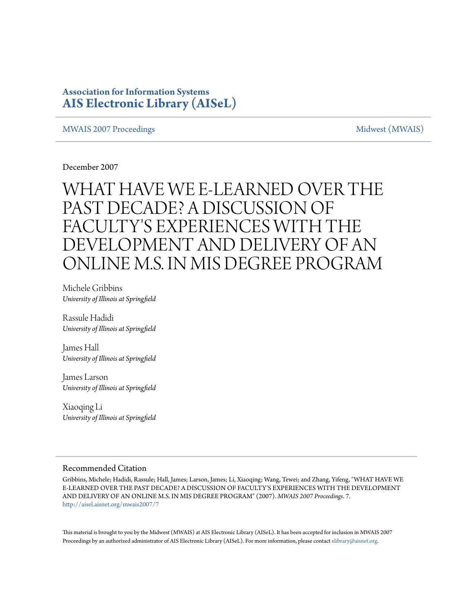## **Association for Information Systems [AIS Electronic Library \(AISeL\)](http://aisel.aisnet.org?utm_source=aisel.aisnet.org%2Fmwais2007%2F7&utm_medium=PDF&utm_campaign=PDFCoverPages)**

## [MWAIS 2007 Proceedings](http://aisel.aisnet.org/mwais2007?utm_source=aisel.aisnet.org%2Fmwais2007%2F7&utm_medium=PDF&utm_campaign=PDFCoverPages) and the state of the state of the [Midwest \(MWAIS\)](http://aisel.aisnet.org/mwais?utm_source=aisel.aisnet.org%2Fmwais2007%2F7&utm_medium=PDF&utm_campaign=PDFCoverPages)

December 2007

# WHAT HAVE WE E-LEARNED OVER THE PAST DECADE? A DISCUSSION OF FACULTY'S EXPERIENCES WITH THE DEVELOPMENT AND DELIVERY OF AN ONLINE M.S. IN MIS DEGREE PROGRAM

Michele Gribbins *University of Illinois at Springfield*

Rassule Hadidi *University of Illinois at Springfield*

James Hall *University of Illinois at Springfield*

James Larson *University of Illinois at Springfield*

Xiaoqing Li *University of Illinois at Springfield*

## Recommended Citation

Gribbins, Michele; Hadidi, Rassule; Hall, James; Larson, James; Li, Xiaoqing; Wang, Tewei; and Zhang, Yifeng, "WHAT HAVE WE E-LEARNED OVER THE PAST DECADE? A DISCUSSION OF FACULTY'S EXPERIENCES WITH THE DEVELOPMENT AND DELIVERY OF AN ONLINE M.S. IN MIS DEGREE PROGRAM" (2007). *MWAIS 2007 Proceedings*. 7. [http://aisel.aisnet.org/mwais2007/7](http://aisel.aisnet.org/mwais2007/7?utm_source=aisel.aisnet.org%2Fmwais2007%2F7&utm_medium=PDF&utm_campaign=PDFCoverPages)

This material is brought to you by the Midwest (MWAIS) at AIS Electronic Library (AISeL). It has been accepted for inclusion in MWAIS 2007 Proceedings by an authorized administrator of AIS Electronic Library (AISeL). For more information, please contact [elibrary@aisnet.org](mailto:elibrary@aisnet.org%3E).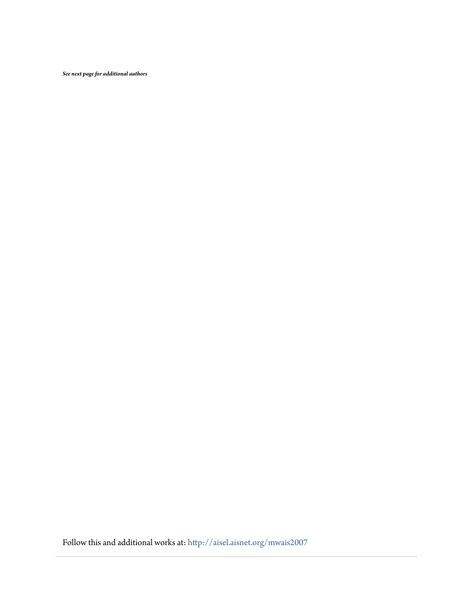*See next page for additional authors*

Follow this and additional works at: [http://aisel.aisnet.org/mwais2007](http://aisel.aisnet.org/mwais2007?utm_source=aisel.aisnet.org%2Fmwais2007%2F7&utm_medium=PDF&utm_campaign=PDFCoverPages)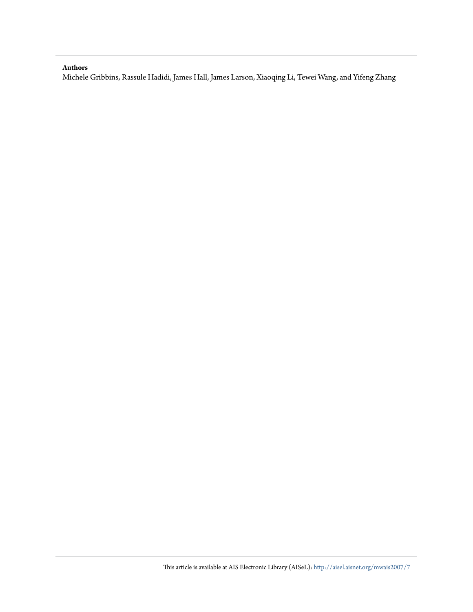### **Authors**

Michele Gribbins, Rassule Hadidi, James Hall, James Larson, Xiaoqing Li, Tewei Wang, and Yifeng Zhang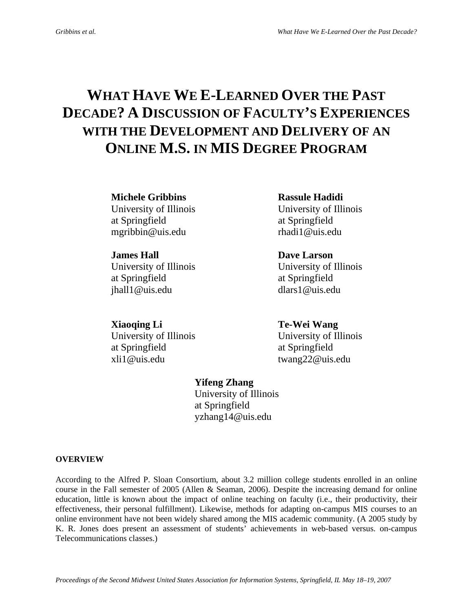## **WHAT HAVE WE E-LEARNED OVER THE PAST DECADE? A DISCUSSION OF FACULTY'S EXPERIENCES WITH THE DEVELOPMENT AND DELIVERY OF AN ONLINE M.S. IN MIS DEGREE PROGRAM**

**Michele Gribbins Rassule Hadidi** 

at Springfield at Springfield mgribbin@uis.edu rhadi1@uis.edu

at Springfield at Springfield jhall1@uis.edu dlars1@uis.edu

**Xiaoqing Li** Te-Wei Wang at Springfield at Springfield xli1@uis.edu twang22@uis.edu

# University of Illinois University of Illinois

**James Hall Construction Dave Larson** University of Illinois University of Illinois

University of Illinois University of Illinois

## **Yifeng Zhang**

University of Illinois at Springfield yzhang14@uis.edu

## **OVERVIEW**

According to the Alfred P. Sloan Consortium, about 3.2 million college students enrolled in an online course in the Fall semester of 2005 (Allen & Seaman, 2006). Despite the increasing demand for online education, little is known about the impact of online teaching on faculty (i.e., their productivity, their effectiveness, their personal fulfillment). Likewise, methods for adapting on-campus MIS courses to an online environment have not been widely shared among the MIS academic community. (A 2005 study by K. R. Jones does present an assessment of students' achievements in web-based versus. on-campus Telecommunications classes.)